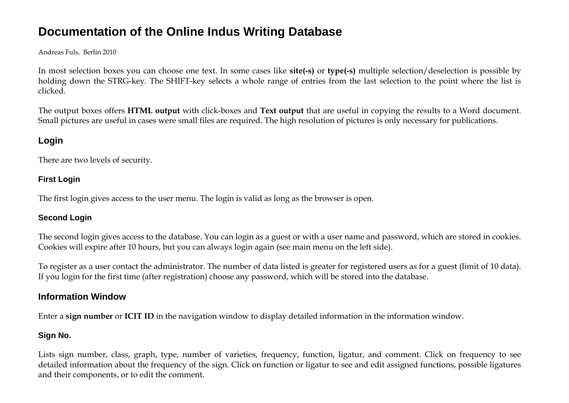# **Documentation of the Online Indus Writing Database**

Andreas Fuls, Berlin 2010

In most selection boxes you can choose one text. In some cases like **site(-s)** or **type(-s)** multiple selection/deselection is possible by holding down the STRG-key. The SHIFT-key selects a whole range of entries from the last selection to the point where the list is clicked.

The output boxes offers **HTML output** with click-boxes and **Text output** that are useful in copying the results to a Word document. Small pictures are useful in cases were small files are required. The high resolution of pictures is only necessary for publications.

# **Login**

There are two levels of security.

### **First Login**

The first login gives access to the user menu. The login is valid as long as the browser is open.

### **Second Login**

The second login gives access to the database. You can login as a guest or with a user name and password, which are stored in cookies. Cookies will expire after 10 hours, but you can always login again (see main menu on the left side).

To register as a user contact the administrator. The number of data listed is greater for registered users as for a guest (limit of 10 data). If you login for the first time (after registration) choose any password, which will be stored into the database.

### **Information Window**

Enter a **sign number** or **ICIT ID** in the navigation window to display detailed information in the information window.

### **Sign No.**

Lists sign number, class, graph, type, number of varieties, frequency, function, ligatur, and comment. Click on frequency to see detailed information about the frequency of the sign. Click on function or ligatur to see and edit assigned functions, possible ligatures and their components, or to edit the comment.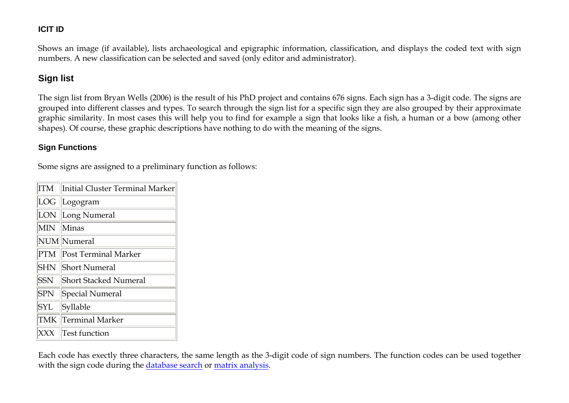### <span id="page-1-0"></span>**ICIT ID**

Shows an image (if available), lists archaeological and epigraphic information, classification, and displays the coded text with sign numbers. A new classification can be selected and saved (only editor and administrator).

### **Sign list**

The sign list from Bryan Wells (2006) is the result of his PhD project and contains 676 signs. Each sign has a 3-digit code. The signs are grouped into different classes and types. To search through the sign list for a specific sign they are also grouped by their approximate graphic similarity. In most cases this will help you to find for example a sign that looks like a fish, a human or a bow (among other shapes). Of course, these graphic descriptions have nothing to do with the meaning of the signs.

#### **Sign Functions**

Some signs are assigned to a preliminary function as follows:

| ITM        | Initial Cluster Terminal Marker |
|------------|---------------------------------|
| LOG        | Logogram                        |
| LON        | Long Numeral                    |
| <b>MIN</b> | Minas                           |
|            | NUM Numeral                     |
| <b>PTM</b> | Post Terminal Marker            |
| <b>SHN</b> | <b>Short Numeral</b>            |
| <b>SSN</b> | <b>Short Stacked Numeral</b>    |
| SPN        | Special Numeral                 |
| <b>SYL</b> | Syllable                        |
| TMK        | Terminal Marker                 |
| xxx        | <b>Test function</b>            |

Each code has exectly three characters, the same length as the 3-digit code of sign numbers. The function codes can be used together with the sign code during the database search or matrix analysis.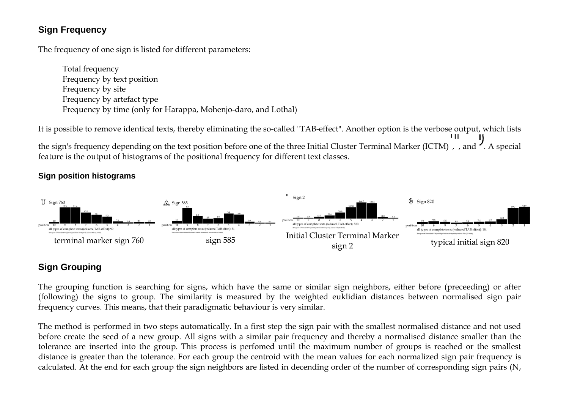### **Sign Frequency**

The frequency of one sign is listed for different parameters:

Total frequency Frequency by text position Frequency by site Frequency by artefact type Frequency by time (only for Harappa, Mohenjo-daro, and Lothal)

It is possible to remove identical texts, thereby eliminating the so-called "TAB-effect". Another option is the verbose output, which lists the sign's frequency depending on the text position before one of the three Initial Cluster Terminal Marker (ICTM), and  $\prime$ . A special feature is the output of histograms of the positional frequency for different text classes.

### **Sign position histograms**



### **Sign Grouping**

The grouping function is searching for signs, which have the same or similar sign neighbors, either before (preceeding) or after (following) the signs to group. The similarity is measured by the weighted euklidian distances between normalised sign pair frequency curves. This means, that their paradigmatic behaviour is very similar.

The method is performed in two steps automatically. In a first step the sign pair with the smallest normalised distance and not used before create the seed of a new group. All signs with a similar pair frequency and thereby a normalised distance smaller than the tolerance are inserted into the group. This process is perfomed until the maximum number of groups is reached or the smallest distance is greater than the tolerance. For each group the centroid with the mean values for each normalized sign pair frequency is calculated. At the end for each group the sign neighbors are listed in decending order of the number of corresponding sign pairs (N,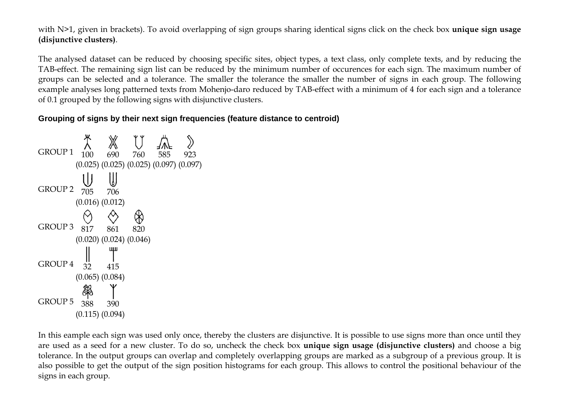with N>1, given in brackets). To avoid overlapping of sign groups sharing identical signs click on the check box **unique sign usage (disjunctive clusters)**.

The analysed dataset can be reduced by choosing specific sites, object types, a text class, only complete texts, and by reducing the TAB-effect. The remaining sign list can be reduced by the minimum number of occurences for each sign. The maximum number of groups can be selected and a tolerance. The smaller the tolerance the smaller the number of signs in each group. The following example analyses long patterned texts from Mohenjo-daro reduced by TAB-effect with a minimum of 4 for each sign and a tolerance of 0.1 grouped by the following signs with disjunctive clusters.

#### **Grouping of signs by their next sign frequencies (feature distance to centroid)**



In this eample each sign was used only once, thereby the clusters are disjunctive. It is possible to use signs more than once until they are used as a seed for a new cluster. To do so, uncheck the check box **unique sign usage (disjunctive clusters)** and choose a big tolerance. In the output groups can overlap and completely overlapping groups are marked as a subgroup of a previous group. It is also possible to get the output of the sign position histograms for each group. This allows to control the positional behaviour of the signs in each group.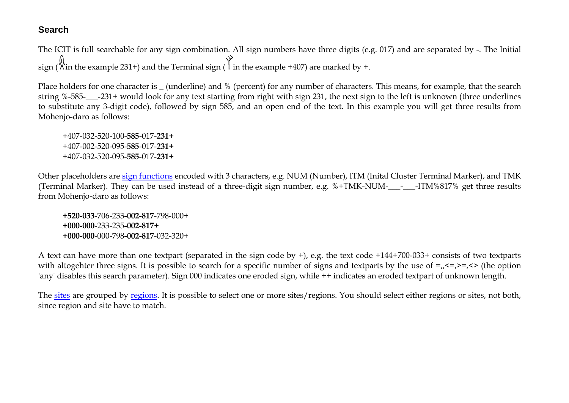### **Search**

The ICIT is full searchable for any sign combination. All sign numbers have three digits (e.g. 017) and are separated by -. The Initial  $\bigcirc$  in the example 231+) and the Terminal sign ( $\bigcirc$  in the example +407) are marked by +.

Place holders for one character is \_ (underline) and % (percent) for any number of characters. This means, for example, that the search string %-585-\_\_\_-231+ would look for any text starting from right with sign 231, the next sign to the left is unknown (three underlines to substitute any 3-digit code), followed by sign 585, and an open end of the text. In this example you will get three results from Mohenjo-daro as follows:

+407-032-520-100-**585**-017-**231+** +407-002-520-095-**585**-017-**231+** +407-032-520-095-**585**-017-**231+**

Other placeholders are sign functions encoded with 3 characters, e.g. NUM (Number), ITM (Inital Cluster Terminal Marker), and TMK (Terminal Marker). They can be used instead of a three-digit sign number, e.g.  $%+TMK-NUM-$  -  $-ITM%817%$  get three results from Mohenjo-daro as follows:

**+520-033**-706-233**-002-817**-798-000+ **+000-000**-233-235**-002-817**+ **+000-000**-000-798**-002-817**-032-320+

A text can have more than one textpart (separated in the sign code by +), e.g. the text code +144+700-033+ consists of two textparts with altogehter three signs. It is possible to search for a specific number of signs and textparts by the use of  $=$ <sub>n</sub> $\le$   $=$ , $\le$   $>$  (the option 'any' disables this search parameter). Sign 000 indicates one eroded sign, while ++ indicates an eroded textpart of unknown length.

The sites are grouped by regions. It is possible to select one or more sites/regions. You should select either regions or sites, not both, since region and site have to match.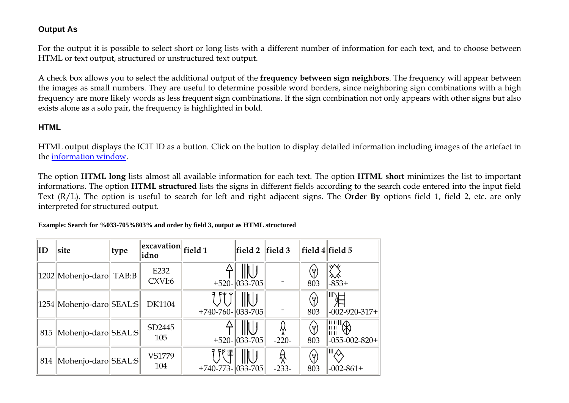#### **Output As**

For the output it is possible to select short or long lists with a different number of information for each text, and to choose between HTML or text output, structured or unstructured text output.

A check box allows you to select the additional output of the **frequency between sign neighbors**. The frequency will appear between the images as small numbers. They are useful to determine possible word borders, since neighboring sign combinations with a high frequency are more likely words as less frequent sign combinations. If the sign combination not only appears with other signs but also exists alone as a solo pair, the frequency is highlighted in bold.

### **HTML**

HTML output displays the ICIT ID as a button. Click on the button to display detailed information including images of the artefact in the [information window](#page-1-0).

The option **HTML long** lists almost all available information for each text. The option **HTML short** minimizes the list to important informations. The option **HTML structured** lists the signs in different fields according to the search code entered into the input field Text (R/L). The option is useful to search for left and right adjacent signs. The **Order By** options field 1, field 2, etc. are only interpreted for structured output.

#### **Example: Search for %033-705%803% and order by field 3, output as HTML structured**

| ID  | site                       | type  | $\left\  \frac{1}{\sqrt{1-\frac{1}{\sqrt{1-\frac{1}{\sqrt{1-\frac{1}{\sqrt{1-\frac{1}{\sqrt{1-\frac{1}{\sqrt{1-\frac{1}{\sqrt{1-\frac{1}{\sqrt{1-\frac{1}{\sqrt{1-\frac{1}{\sqrt{1-\frac{1}{\sqrt{1-\frac{1}{\sqrt{1-\frac{1}{\sqrt{1-\frac{1}{\sqrt{1-\frac{1}{\sqrt{1-\frac{1}{\sqrt{1-\frac{1}{\sqrt{1-\frac{1}{\sqrt{1-\frac{1}{\sqrt{1-\frac{1}{\sqrt{1-\frac{1}{\sqrt{1-\frac{1}{\sqrt{1-\frac{1}{\sqrt{1-\frac{1}{\sqrt{1$<br>idno |                           | field 2                          | field 3      |                 | $\ $ field 4 $\ $ field 5                       |
|-----|----------------------------|-------|-------------------------------------------------------------------------------------------------------------------------------------------------------------------------------------------------------------------------------------------------------------------------------------------------------------------------------------------------------------------------------------------------------------------------------------------|---------------------------|----------------------------------|--------------|-----------------|-------------------------------------------------|
|     | 1202 Mohenjo-daro          | TAB:B | E232<br>CXVI:6                                                                                                                                                                                                                                                                                                                                                                                                                            |                           | IIIU<br>$+520 - 033 - 705$       |              | Y<br>803        | р<br>$-853+$                                    |
|     | 1254  Mohenjo-daro  SEAL:S |       | <b>DK1104</b>                                                                                                                                                                                                                                                                                                                                                                                                                             | $+740-760$ - $ 033-705$   |                                  |              | Y)<br>803       | $-002 - 920 - 317 +$                            |
| 815 | Mohenjo-daro SEAL:S        |       | SD2445<br>105                                                                                                                                                                                                                                                                                                                                                                                                                             |                           | IIIU<br>$+520$ - $ 033$ -705 $ $ | Ķ<br>$-220-$ | $(\Psi)$<br>803 | $\overline{\text{min}}$<br>$-055 - 002 - 820 +$ |
| 814 | Mohenjo-daro SEAL:S        |       | VS1779<br>104                                                                                                                                                                                                                                                                                                                                                                                                                             | 帶<br>$+740-773- 033-705 $ | IIIU                             | ☆<br>$-233-$ | $(\Psi)$<br>803 | $-002 - 861 +$                                  |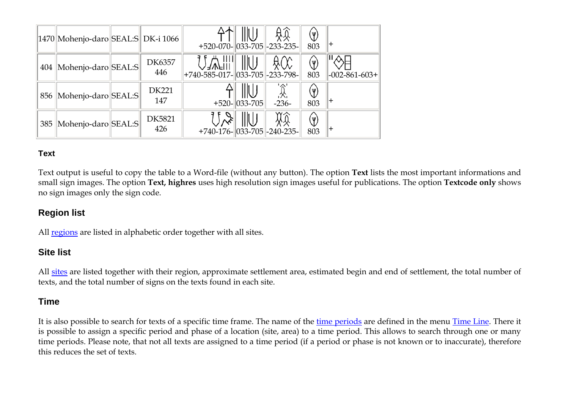|     | 1470  Mohenjo-daro  SEAL:S   DK-i 1066 |                      | +520-070- $ 033$ -705 $ $ -233-235-                                 | IIU                          | âŔ             | ৺<br>803                             |                      |
|-----|----------------------------------------|----------------------|---------------------------------------------------------------------|------------------------------|----------------|--------------------------------------|----------------------|
| 404 | Mohenjo-daro SEAL:S                    | DK6357<br>446        | $\parallel$    $\parallel$<br>+740-585-017- $\ 033-705\ $ -233-798- | ⊪∪                           |                | 803                                  | $-002 - 861 - 603 +$ |
|     | 856 Mohenjo-daro SEAL:S                | DK221<br>147         |                                                                     | IIIU<br>$+520$ - $ 033-705 $ | .父,<br>$-236-$ | $\mathbb{Y}$<br>803                  |                      |
|     | 385   Mohenjo-daro   SEAL: S           | <b>DK5821</b><br>426 | $+740-176$ - $ 033-705 $ -240-235-                                  | ⊪∪                           | ŖŔ             | $\left( \mathbf{\Psi}\right)$<br>803 |                      |

### **Text**

Text output is useful to copy the table to a Word-file (without any button). The option **Text** lists the most important informations and small sign images. The option **Text, highres** uses high resolution sign images useful for publications. The option **Textcode only** shows no sign images only the sign code.

### **Region list**

All regions are listed in alphabetic order together with all sites.

### **Site list**

All sites are listed together with their region, approximate settlement area, estimated begin and end of settlement, the total number of texts, and the total number of signs on the texts found in each site.

### **Time**

It is also possible to search for texts of a specific time frame. The name of the time periods are defined in the menu Time Line. There it is possible to assign a specific period and phase of a location (site, area) to a time period. This allows to search through one or many time periods. Please note, that not all texts are assigned to a time period (if a period or phase is not known or to inaccurate), therefore this reduces the set of texts.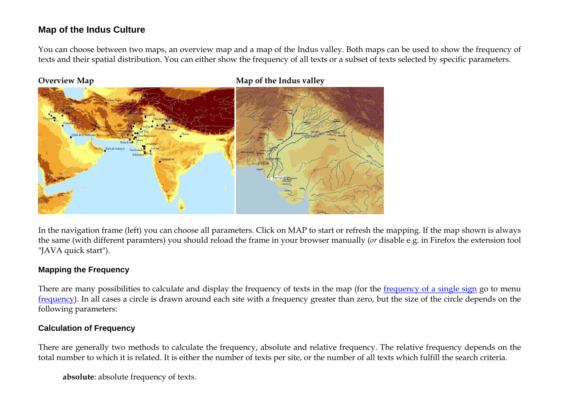### **Map of the Indus Culture**

You can choose between two maps, an overview map and a map of the Indus valley. Both maps can be used to show the frequency of texts and their spatial distribution. You can either show the frequency of all texts or a subset of texts selected by specific parameters.



**Overview Map Map 6. In the Indus valley Map of the Indus valley** 

In the navigation frame (left) you can choose all parameters. Click on MAP to start or refresh the mapping. If the map shown is always the same (with different paramters) you should reload the frame in your browser manually (*or* disable e.g. in Firefox the extension tool "JAVA quick start").

#### **Mapping the Frequency**

There are many possibilities to calculate and display the frequency of texts in the map (for the frequency of a single sign go to menu frequency). In all cases a circle is drawn around each site with a frequency greater than zero, but the size of the circle depends on the following parameters:

#### **Calculation of Frequency**

There are generally two methods to calculate the frequency, absolute and relative frequency. The relative frequency depends on the total number to which it is related. It is either the number of texts per site, or the number of all texts which fulfill the search criteria.

**absolute**: absolute frequency of texts.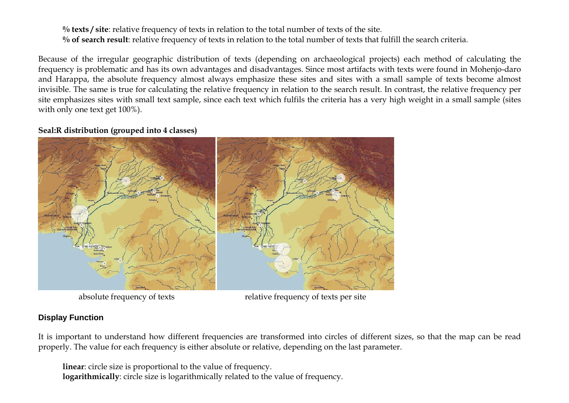**% texts / site**: relative frequency of texts in relation to the total number of texts of the site. **% of search result**: relative frequency of texts in relation to the total number of texts that fulfill the search criteria.

Because of the irregular geographic distribution of texts (depending on archaeological projects) each method of calculating the frequency is problematic and has its own advantages and disadvantages. Since most artifacts with texts were found in Mohenjo-daro and Harappa, the absolute frequency almost always emphasize these sites and sites with a small sample of texts become almost invisible. The same is true for calculating the relative frequency in relation to the search result. In contrast, the relative frequency per site emphasizes sites with small text sample, since each text which fulfils the criteria has a very high weight in a small sample (sites with only one text get 100%).

#### **Seal:R distribution (grouped into 4 classes)**



absolute frequency of texts relative frequency of texts per site

### **Display Function**

It is important to understand how different frequencies are transformed into circles of different sizes, so that the map can be read properly. The value for each frequency is either absolute or relative, depending on the last parameter.

**linear**: circle size is proportional to the value of frequency. **logarithmically**: circle size is logarithmically related to the value of frequency.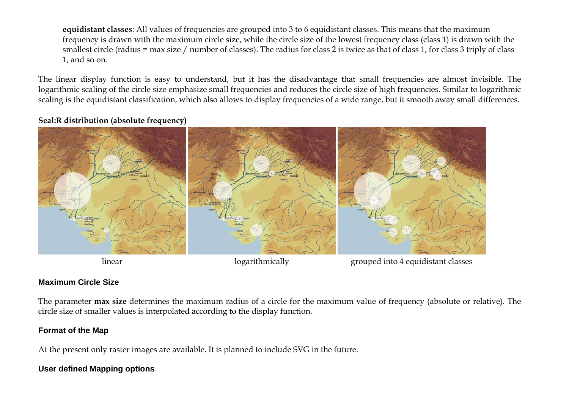**equidistant classes**: All values of frequencies are grouped into 3 to 6 equidistant classes. This means that the maximum frequency is drawn with the maximum circle size, while the circle size of the lowest frequency class (class 1) is drawn with the smallest circle (radius = max size / number of classes). The radius for class 2 is twice as that of class 1, for class 3 triply of class 1, and so on.

The linear display function is easy to understand, but it has the disadvantage that small frequencies are almost invisible. The logarithmic scaling of the circle size emphasize small frequencies and reduces the circle size of high frequencies. Similar to logarithmic scaling is the equidistant classification, which also allows to display frequencies of a wide range, but it smooth away small differences.

#### **Seal:R distribution (absolute frequency)**



linear logarithmically grouped into 4 equidistant classes

### **Maximum Circle Size**

The parameter **max size** determines the maximum radius of a circle for the maximum value of frequency (absolute or relative). The circle size of smaller values is interpolated according to the display function.

### **Format of the Map**

At the present only raster images are available. It is planned to include SVG in the future.

### **User defined Mapping options**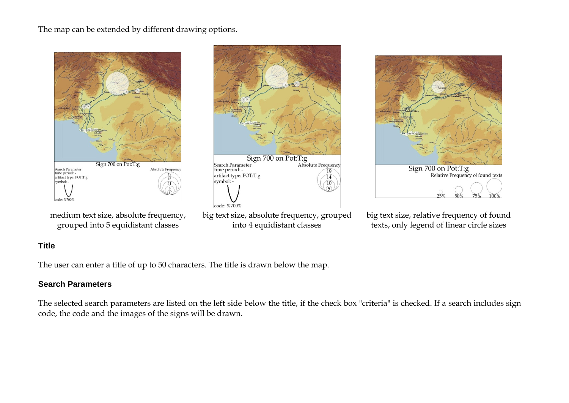#### The map can be extended by different drawing options.



medium text size, absolute frequency, grouped into 5 equidistant classes







big text size, relative frequency of found texts, only legend of linear circle sizes

### **Title**

The user can enter a title of up to 50 characters. The title is drawn below the map.

#### **Search Parameters**

The selected search parameters are listed on the left side below the title, if the check box "criteria" is checked. If a search includes sign code, the code and the images of the signs will be drawn.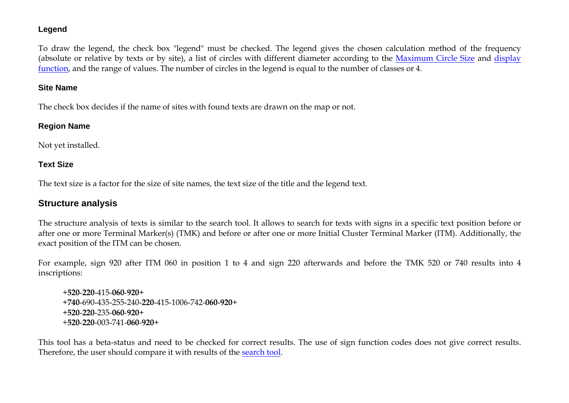#### **Legend**

To draw the legend, the check box "legend" must be checked. The legend gives the chosen calculation method of the frequency (absolute or relative by texts or by site), a list of circles with different diameter according to the Maximum Circle Size and display function, and the range of values. The number of circles in the legend is equal to the number of classes or 4.

#### **Site Name**

The check box decides if the name of sites with found texts are drawn on the map or not.

#### **Region Name**

Not yet installed.

### **Text Size**

The text size is a factor for the size of site names, the text size of the title and the legend text.

### **Structure analysis**

The structure analysis of texts is similar to the search tool. It allows to search for texts with signs in a specific text position before or after one or more Terminal Marker(s) (TMK) and before or after one or more Initial Cluster Terminal Marker (ITM). Additionally, the exact position of the ITM can be chosen.

For example, sign 920 after ITM 060 in position 1 to 4 and sign 220 afterwards and before the TMK 520 or 740 results into 4 inscriptions:

<sup>+</sup>**520**-**220**-415-**060**-**920**+ <sup>+</sup>**740**-690-435-255-240-**220**-415-1006-742-**060**-**920**+ <sup>+</sup>**520**-**220**-235-**060**-**920**+ <sup>+</sup>**520**-**220**-003-741-**060**-**920**+

This tool has a beta-status and need to be checked for correct results. The use of sign function codes does not give correct results. Therefore, the user should compare it with results of the search tool.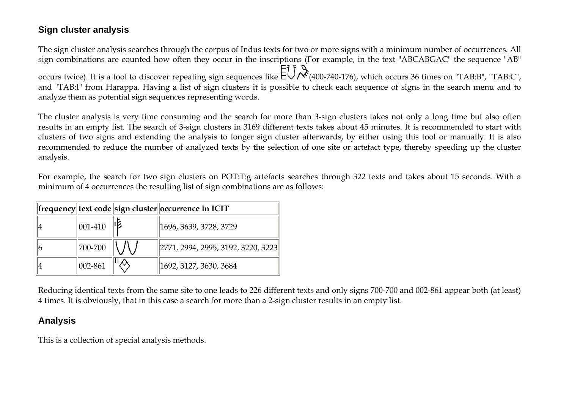### **Sign cluster analysis**

The sign cluster analysis searches through the corpus of Indus texts for two or more signs with a minimum number of occurrences. All sign combinations are counted how often they occur in the inscriptions (For example, in the text "ABCABGAC" the sequence "AB" occurs twice). It is a tool to discover repeating sign sequences like  $\Xi\subset\Xi$  (400-740-176), which occurs 36 times on "TAB:B", "TAB:C", and "TAB:I" from Harappa. Having a list of sign clusters it is possible to check each sequence of signs in the search menu and to analyze them as potential sign sequences representing words.

The cluster analysis is very time consuming and the search for more than 3-sign clusters takes not only a long time but also often results in an empty list. The search of 3-sign clusters in 3169 different texts takes about 45 minutes. It is recommended to start with clusters of two signs and extending the analysis to longer sign cluster afterwards, by either using this tool or manually. It is also recommended to reduce the number of analyzed texts by the selection of one site or artefact type, thereby speeding up the cluster analysis.

For example, the search for two sign clusters on POT:T:g artefacts searches through 322 texts and takes about 15 seconds. With a minimum of 4 occurrences the resulting list of sign combinations are as follows:

|              | frequency text code sign cluster occurrence in ICIT   |
|--------------|-------------------------------------------------------|
| $ 001 - 410$ | 1696, 3639, 3728, 3729                                |
| 700-700      | $\left\  2771, 2994, 2995, 3192, 3220, 3223 \right\ $ |
| $ 002 - 861$ | 1692, 3127, 3630, 3684                                |

Reducing identical texts from the same site to one leads to 226 different texts and only signs 700-700 and 002-861 appear both (at least) 4 times. It is obviously, that in this case a search for more than a 2-sign cluster results in an empty list.

# **Analysis**

This is a collection of special analysis methods.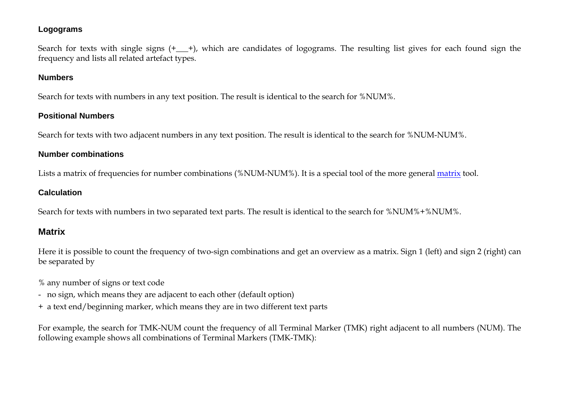#### **Logograms**

Search for texts with single signs  $(+$   $+)$ , which are candidates of logograms. The resulting list gives for each found sign the frequency and lists all related artefact types.

#### **Numbers**

Search for texts with numbers in any text position. The result is identical to the search for %NUM%.

### **Positional Numbers**

Search for texts with two adjacent numbers in any text position. The result is identical to the search for %NUM-NUM%.

### **Number combinations**

Lists a matrix of frequencies for number combinations (%NUM-NUM%). It is a special tool of the more general matrix tool.

### **Calculation**

Search for texts with numbers in two separated text parts. The result is identical to the search for %NUM%+%NUM%.

# **Matrix**

Here it is possible to count the frequency of two-sign combinations and get an overview as a matrix. Sign 1 (left) and sign 2 (right) can be separated by

- % any number of signs or text code
- no sign, which means they are adjacent to each other (default option)
- + a text end/beginning marker, which means they are in two different text parts

For example, the search for TMK-NUM count the frequency of all Terminal Marker (TMK) right adjacent to all numbers (NUM). The following example shows all combinations of Terminal Markers (TMK-TMK):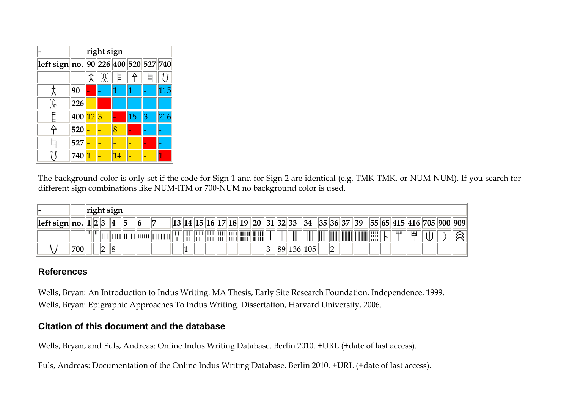|                                      |                       | right sign |  |   |    |   |     |  |  |  |  |  |  |  |  |
|--------------------------------------|-----------------------|------------|--|---|----|---|-----|--|--|--|--|--|--|--|--|
| left sign no. 90 226 400 520 527 740 |                       |            |  |   |    |   |     |  |  |  |  |  |  |  |  |
|                                      |                       |            |  |   |    |   |     |  |  |  |  |  |  |  |  |
|                                      | 90                    |            |  |   |    |   | 115 |  |  |  |  |  |  |  |  |
|                                      | 226                   |            |  |   |    |   |     |  |  |  |  |  |  |  |  |
|                                      | 400 <mark>12</mark> 3 |            |  |   | 15 | З | 216 |  |  |  |  |  |  |  |  |
|                                      | 520                   |            |  | 8 |    |   |     |  |  |  |  |  |  |  |  |
|                                      | 527                   |            |  |   |    |   |     |  |  |  |  |  |  |  |  |
|                                      | 740                   |            |  | Δ |    |   |     |  |  |  |  |  |  |  |  |

The background color is only set if the code for Sign 1 and for Sign 2 are identical (e.g. TMK-TMK, or NUM-NUM). If you search for different sign combinations like NUM-ITM or 700-NUM no background color is used.

|                |                | right sign    |   |   |    |                            |  |  |    |           |  |  |     |   |    |                     |            |             |                      |              |            |     |    |  |    |   |                                 |  |
|----------------|----------------|---------------|---|---|----|----------------------------|--|--|----|-----------|--|--|-----|---|----|---------------------|------------|-------------|----------------------|--------------|------------|-----|----|--|----|---|---------------------------------|--|
| left sign  no. |                | $\parallel$ 1 | 2 |   | 14 | ל                          |  |  | 13 | 14  15  . |  |  |     |   |    | 16  17  18  19   20 | 31  32  33 |             | 34                   |              | 35  36  37 |     | 39 |  |    |   | 55  65  415  416  705  900  909 |  |
|                |                |               |   |   |    | ,             <sup> </sup> |  |  |    |           |  |  |     |   | WШ |                     |            | $\parallel$ | $\boxed{\text{III}}$ | $\mathbb{I}$ |            | I   |    |  | ШШ | ᄣ |                                 |  |
|                | $^{\prime}700$ | $-$           |   | - |    | . .                        |  |  |    | . .       |  |  | . . | ╺ |    |                     | 89         | 136         | $ 105 $ -            |              |            | . . |    |  |    |   |                                 |  |

### **References**

Wells, Bryan: An Introduction to Indus Writing. MA Thesis, Early Site Research Foundation, Independence, 1999. Wells, Bryan: Epigraphic Approaches To Indus Writing. Dissertation, Harvard University, 2006.

### **Citation of this document and the database**

Wells, Bryan, and Fuls, Andreas: Online Indus Writing Database. Berlin 2010. +URL (+date of last access).

Fuls, Andreas: Documentation of the Online Indus Writing Database. Berlin 2010. +URL (+date of last access).